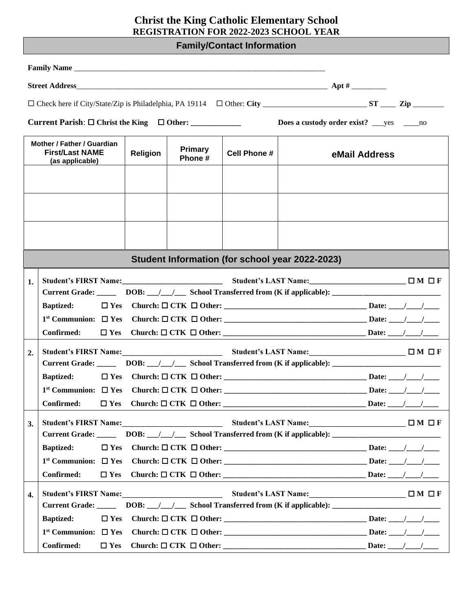## **Christ the King Catholic Elementary School REGISTRATION FOR 2022-2023 SCHOOL YEAR**

# **Family/Contact Information**

|                                                                                            |                                                                                                                |                          |                     | Does a custody order exist? ____ yes ______ no                                    |  |  |
|--------------------------------------------------------------------------------------------|----------------------------------------------------------------------------------------------------------------|--------------------------|---------------------|-----------------------------------------------------------------------------------|--|--|
| Mother / Father / Guardian<br><b>First/Last NAME</b><br><b>Religion</b><br>(as applicable) |                                                                                                                | <b>Primary</b><br>Phone# | <b>Cell Phone #</b> | eMail Address                                                                     |  |  |
|                                                                                            |                                                                                                                |                          |                     |                                                                                   |  |  |
|                                                                                            |                                                                                                                |                          |                     |                                                                                   |  |  |
|                                                                                            |                                                                                                                |                          |                     |                                                                                   |  |  |
|                                                                                            |                                                                                                                |                          |                     | Student Information (for school year 2022-2023)                                   |  |  |
| 1.                                                                                         |                                                                                                                |                          |                     |                                                                                   |  |  |
|                                                                                            | Current Grade: _______ DOB: __/__/ ____ School Transferred from (K if applicable): __________________________  |                          |                     |                                                                                   |  |  |
|                                                                                            | <b>Baptized:</b>                                                                                               |                          |                     |                                                                                   |  |  |
|                                                                                            |                                                                                                                |                          |                     |                                                                                   |  |  |
|                                                                                            | Confirmed:                                                                                                     |                          |                     |                                                                                   |  |  |
| 2.                                                                                         | Student's FIRST Name:<br>Student's LAST Name:<br>Student's LAST Name:<br>TM OF                                 |                          |                     |                                                                                   |  |  |
|                                                                                            | Current Grade: _______ DOB: __/__/ ____ School Transferred from (K if applicable): ___________________________ |                          |                     |                                                                                   |  |  |
|                                                                                            | <b>Baptized:</b>                                                                                               |                          |                     |                                                                                   |  |  |
|                                                                                            |                                                                                                                |                          |                     |                                                                                   |  |  |
|                                                                                            |                                                                                                                |                          |                     |                                                                                   |  |  |
| 3.                                                                                         | <b>Student's FIRST Name:</b>                                                                                   |                          |                     | Student's LAST Name:<br><u>□ M</u> □ F                                            |  |  |
|                                                                                            | Current Grade: _______ DOB: __/__/____ School Transferred from (K if applicable): ____________________________ |                          |                     |                                                                                   |  |  |
|                                                                                            | $\Box$ Yes<br><b>Baptized:</b>                                                                                 |                          |                     |                                                                                   |  |  |
|                                                                                            | $1st$ Communion: $\Box$ Yes                                                                                    |                          |                     |                                                                                   |  |  |
|                                                                                            | Confirmed:<br>$\Box$ Yes                                                                                       |                          |                     |                                                                                   |  |  |
| 4.                                                                                         | <b>Student's FIRST Name:</b>                                                                                   |                          |                     | Student's LAST Name: □ □ □ □ □ □ □ □                                              |  |  |
|                                                                                            | <b>Current Grade:</b>                                                                                          |                          |                     | DOB: /// School Transferred from (K if applicable): _____________________________ |  |  |
|                                                                                            | <b>Baptized:</b><br>$\square$ Yes                                                                              |                          |                     |                                                                                   |  |  |
|                                                                                            | $1st$ Communion: $\Box$ Yes                                                                                    |                          |                     |                                                                                   |  |  |
|                                                                                            | Confirmed:<br>$\Box$ Yes                                                                                       |                          |                     |                                                                                   |  |  |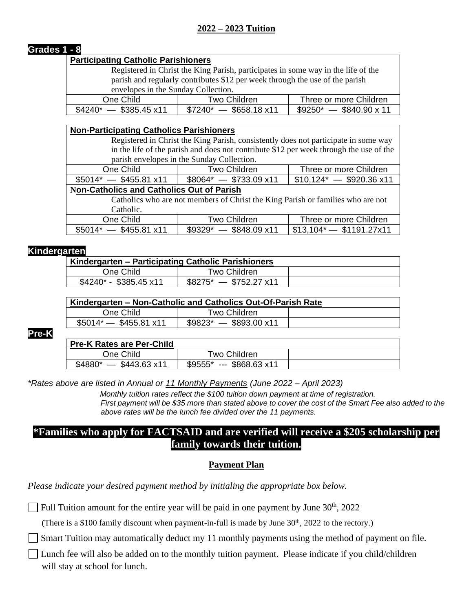## **Grades 1 - 8**

#### **Participating Catholic Parishioners**

Registered in Christ the King Parish, participates in some way in the life of the parish and regularly contributes \$12 per week through the use of the parish envelopes in the Sunday Collection.

| One Child                    | Two Children_                 | Three or more Children        |  |  |
|------------------------------|-------------------------------|-------------------------------|--|--|
| $-$ \$385.45 x11<br>$$4240*$ | $$7240^* - $658.18 \times 11$ | $$9250^* - $840.90 \times 11$ |  |  |

| <b>Non-Participating Catholics Parishioners</b>                                        |                     |                                |  |
|----------------------------------------------------------------------------------------|---------------------|--------------------------------|--|
| Registered in Christ the King Parish, consistently does not participate in some way    |                     |                                |  |
| in the life of the parish and does not contribute \$12 per week through the use of the |                     |                                |  |
| parish envelopes in the Sunday Collection.                                             |                     |                                |  |
| One Child                                                                              | Two Children        | Three or more Children         |  |
| $$5014^* - $455.81 \times 11$<br>$$8064^* - $733.09 \times 11$                         |                     | $$10,124^*$ - \$920.36 x11     |  |
| <b>Non-Catholics and Catholics Out of Parish</b>                                       |                     |                                |  |
| Catholics who are not members of Christ the King Parish or families who are not        |                     |                                |  |
| Catholic.                                                                              |                     |                                |  |
| One Child                                                                              | <b>Two Children</b> | Three or more Children         |  |
| $$5014^* - $455.81 \times 11$<br>$$9329^* - $848.09 \times 11$                         |                     | $$13,104 \times $ \$1191.27x11 |  |

#### **Kindergarten**

| Kindergarten – Participating Catholic Parishioners |                               |  |
|----------------------------------------------------|-------------------------------|--|
| One Child                                          | Two Children                  |  |
| $$4240$ * - \$385.45 x11                           | $$8275^* - $752.27 \times 11$ |  |

|                          | Kindergarten – Non-Catholic and Catholics Out-Of-Parish Rate |  |
|--------------------------|--------------------------------------------------------------|--|
| One Child                | Two Children                                                 |  |
| $$5014^*$ - \$455.81 x11 | $$9823^* - $893.00 \times 11$                                |  |

**Pre-K**

**Pre-K Rates are Per-Child**

| Fie-K Rales are Fer-Gilliu |                                  |  |
|----------------------------|----------------------------------|--|
| One Child                  | Two Children                     |  |
| \$4880*<br>\$443.63 x11    | $-5868.63 \times 11$<br>$$9555*$ |  |
|                            |                                  |  |

*\*Rates above are listed in Annual or 11 Monthly Payments (June 2022 – April 2023)*

 *\*Monthly tuition rates reflect the \$100 tuition down payment at time of registration. First payment will be \$35 more than stated above to cover the cost of the Smart Fee also added to the above rates will be the lunch fee divided over the 11 payments.*

# **\*Families who apply for FACTSAID and are verified will receive a \$205 scholarship per family towards their tuition.**

#### **Payment Plan**

*Please indicate your desired payment method by initialing the appropriate box below.*

Full Tuition amount for the entire year will be paid in one payment by June  $30<sup>th</sup>$ ,  $2022$ 

(There is a \$100 family discount when payment-in-full is made by June  $30<sup>th</sup>$ ,  $2022$  to the rectory.)

Smart Tuition may automatically deduct my 11 monthly payments using the method of payment on file.

Lunch fee will also be added on to the monthly tuition payment. Please indicate if you child/children will stay at school for lunch.